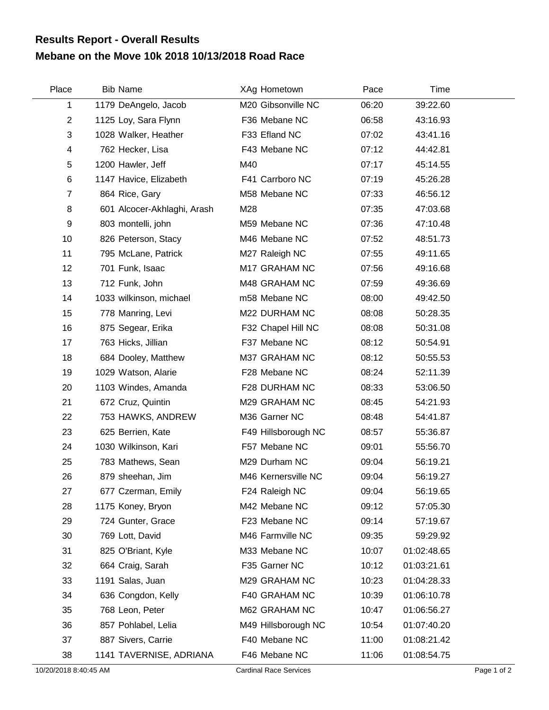## **Mebane on the Move 10k 2018 10/13/2018 Road Race Results Report - Overall Results**

| Place          | <b>Bib Name</b>             | XAg Hometown        | Pace  | Time        |  |
|----------------|-----------------------------|---------------------|-------|-------------|--|
| 1              | 1179 DeAngelo, Jacob        | M20 Gibsonville NC  | 06:20 | 39:22.60    |  |
| $\overline{2}$ | 1125 Loy, Sara Flynn        | F36 Mebane NC       | 06:58 | 43:16.93    |  |
| 3              | 1028 Walker, Heather        | F33 Efland NC       | 07:02 | 43:41.16    |  |
| 4              | 762 Hecker, Lisa            | F43 Mebane NC       | 07:12 | 44:42.81    |  |
| 5              | 1200 Hawler, Jeff           | M40                 | 07:17 | 45:14.55    |  |
| 6              | 1147 Havice, Elizabeth      | F41 Carrboro NC     | 07:19 | 45:26.28    |  |
| $\overline{7}$ | 864 Rice, Gary              | M58 Mebane NC       | 07:33 | 46:56.12    |  |
| 8              | 601 Alcocer-Akhlaghi, Arash | M28                 | 07:35 | 47:03.68    |  |
| 9              | 803 montelli, john          | M59 Mebane NC       | 07:36 | 47:10.48    |  |
| 10             | 826 Peterson, Stacy         | M46 Mebane NC       | 07:52 | 48:51.73    |  |
| 11             | 795 McLane, Patrick         | M27 Raleigh NC      | 07:55 | 49:11.65    |  |
| 12             | 701 Funk, Isaac             | M17 GRAHAM NC       | 07:56 | 49:16.68    |  |
| 13             | 712 Funk, John              | M48 GRAHAM NC       | 07:59 | 49:36.69    |  |
| 14             | 1033 wilkinson, michael     | m58 Mebane NC       | 08:00 | 49:42.50    |  |
| 15             | 778 Manring, Levi           | M22 DURHAM NC       | 08:08 | 50:28.35    |  |
| 16             | 875 Segear, Erika           | F32 Chapel Hill NC  | 08:08 | 50:31.08    |  |
| 17             | 763 Hicks, Jillian          | F37 Mebane NC       | 08:12 | 50:54.91    |  |
| 18             | 684 Dooley, Matthew         | M37 GRAHAM NC       | 08:12 | 50:55.53    |  |
| 19             | 1029 Watson, Alarie         | F28 Mebane NC       | 08:24 | 52:11.39    |  |
| 20             | 1103 Windes, Amanda         | F28 DURHAM NC       | 08:33 | 53:06.50    |  |
| 21             | 672 Cruz, Quintin           | M29 GRAHAM NC       | 08:45 | 54:21.93    |  |
| 22             | 753 HAWKS, ANDREW           | M36 Garner NC       | 08:48 | 54:41.87    |  |
| 23             | 625 Berrien, Kate           | F49 Hillsborough NC | 08:57 | 55:36.87    |  |
| 24             | 1030 Wilkinson, Kari        | F57 Mebane NC       | 09:01 | 55:56.70    |  |
| 25             | 783 Mathews, Sean           | M29 Durham NC       | 09:04 | 56:19.21    |  |
| 26             | 879 sheehan, Jim            | M46 Kernersville NC | 09:04 | 56:19.27    |  |
| 27             | 677 Czerman, Emily          | F24 Raleigh NC      | 09:04 | 56:19.65    |  |
| 28             | 1175 Koney, Bryon           | M42 Mebane NC       | 09:12 | 57:05.30    |  |
| 29             | 724 Gunter, Grace           | F23 Mebane NC       | 09:14 | 57:19.67    |  |
| 30             | 769 Lott, David             | M46 Farmville NC    | 09:35 | 59:29.92    |  |
| 31             | 825 O'Briant, Kyle          | M33 Mebane NC       | 10:07 | 01:02:48.65 |  |
| 32             | 664 Craig, Sarah            | F35 Garner NC       | 10:12 | 01:03:21.61 |  |
| 33             | 1191 Salas, Juan            | M29 GRAHAM NC       | 10:23 | 01:04:28.33 |  |
| 34             | 636 Congdon, Kelly          | F40 GRAHAM NC       | 10:39 | 01:06:10.78 |  |
| 35             | 768 Leon, Peter             | M62 GRAHAM NC       | 10:47 | 01:06:56.27 |  |
| 36             | 857 Pohlabel, Lelia         | M49 Hillsborough NC | 10:54 | 01:07:40.20 |  |
| 37             | 887 Sivers, Carrie          | F40 Mebane NC       | 11:00 | 01:08:21.42 |  |
| 38             | 1141 TAVERNISE, ADRIANA     | F46 Mebane NC       | 11:06 | 01:08:54.75 |  |